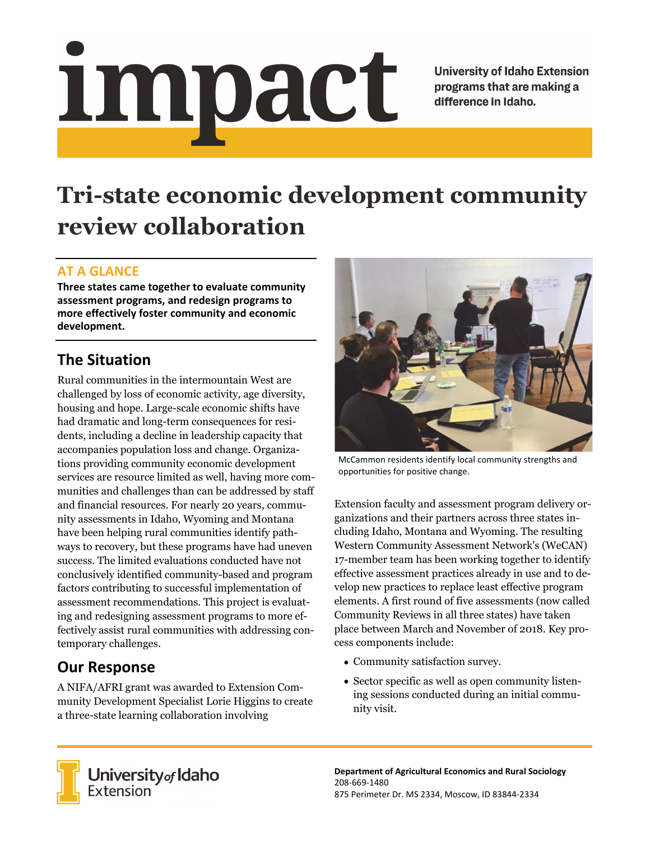# Impact

**University of Idaho Extension** programs that are making a difference in Idaho.

# **Tri-state economic development community review collaboration**

#### **AT A GLANCE**

**Three states came together to evaluate community assessment programs, and redesign programs to more effectively foster community and economic development.** 

# **The Situation**

Rural communities in the intermountain West are challenged by loss of economic activity, age diversity, housing and hope. Large-scale economic shifts have had dramatic and long-term consequences for residents, including a decline in leadership capacity that accompanies population loss and change. Organizations providing community economic development services are resource limited as well, having more communities and challenges than can be addressed by staff and financial resources. For nearly 20 years, community assessments in Idaho, Wyoming and Montana have been helping rural communities identify pathways to recovery, but these programs have had uneven success. The limited evaluations conducted have not conclusively identified community-based and program factors contributing to successful implementation of assessment recommendations. This project is evaluating and redesigning assessment programs to more effectively assist rural communities with addressing contemporary challenges.

# **Our Response**

A NIFA/AFRI grant was awarded to Extension Community Development Specialist Lorie Higgins to create a three-state learning collaboration involving



McCammon residents identify local community strengths and opportunities for positive change.

Extension faculty and assessment program delivery organizations and their partners across three states including Idaho, Montana and Wyoming. The resulting Western Community Assessment Network's (WeCAN) 17-member team has been working together to identify effective assessment practices already in use and to develop new practices to replace least effective program elements. A first round of five assessments (now called Community Reviews in all three states) have taken place between March and November of 2018. Key process components include:

- Community satisfaction survey.
- Sector specific as well as open community listening sessions conducted during an initial community visit.



**University<sub>of</sub> Idaho**<br>Extension

**Department of Agricultural Economics and Rural Sociology**  208‐669‐1480 875 Perimeter Dr. MS 2334, Moscow, ID 83844‐2334